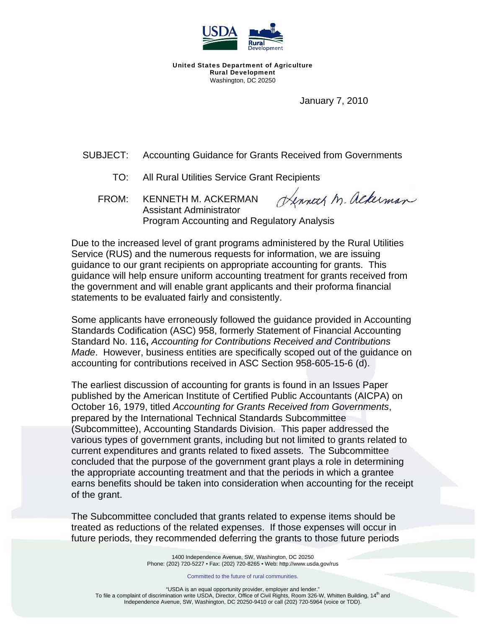

United States Department of Agriculture Rural Development Washington, DC 20250

January 7, 2010

SUBJECT: Accounting Guidance for Grants Received from Governments

- TO: All Rural Utilities Service Grant Recipients
- Henneth M. ackerman FROM: KENNETH M. ACKERMAN Assistant Administrator Program Accounting and Regulatory Analysis

Due to the increased level of grant programs administered by the Rural Utilities Service (RUS) and the numerous requests for information, we are issuing guidance to our grant recipients on appropriate accounting for grants. This guidance will help ensure uniform accounting treatment for grants received from the government and will enable grant applicants and their proforma financial statements to be evaluated fairly and consistently.

Some applicants have erroneously followed the guidance provided in Accounting Standards Codification (ASC) 958, formerly Statement of Financial Accounting Standard No. 116**,** *Accounting for Contributions Received and Contributions Made*. However, business entities are specifically scoped out of the guidance on accounting for contributions received in ASC Section 958-605-15-6 (d).

The earliest discussion of accounting for grants is found in an Issues Paper published by the American Institute of Certified Public Accountants (AICPA) on October 16, 1979, titled *Accounting for Grants Received from Governments*, prepared by the International Technical Standards Subcommittee (Subcommittee), Accounting Standards Division. This paper addressed the various types of government grants, including but not limited to grants related to current expenditures and grants related to fixed assets. The Subcommittee concluded that the purpose of the government grant plays a role in determining the appropriate accounting treatment and that the periods in which a grantee earns benefits should be taken into consideration when accounting for the receipt of the grant.

The Subcommittee concluded that grants related to expense items should be treated as reductions of the related expenses. If those expenses will occur in future periods, they recommended deferring the grants to those future periods

> 1400 Independence Avenue, SW, Washington, DC 20250 Phone: (202) 720-5227 • Fax: (202) 720-8265 • Web: http://www.usda.gov/rus

> > Committed to the future of rural communities.

"USDA is an equal opportunity provider, employer and lender." To file a complaint of discrimination write USDA, Director, Office of Civil Rights, Room 326-W, Whitten Building, 14<sup>th</sup> and Independence Avenue, SW, Washington, DC 20250-9410 or call (202) 720-5964 (voice or TDD).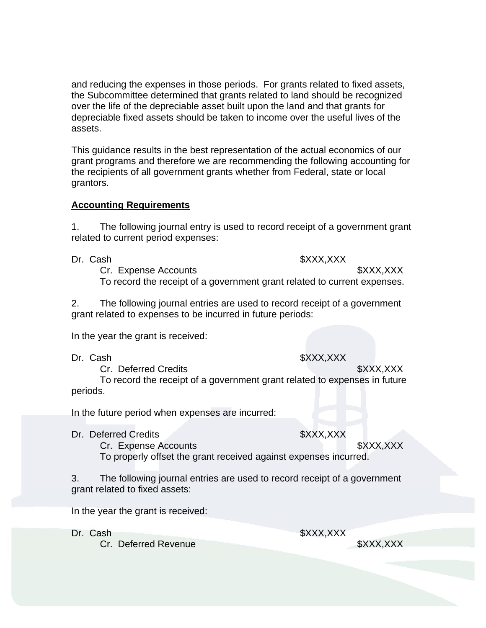and reducing the expenses in those periods. For grants related to fixed assets, the Subcommittee determined that grants related to land should be recognized over the life of the depreciable asset built upon the land and that grants for depreciable fixed assets should be taken to income over the useful lives of the assets.

This guidance results in the best representation of the actual economics of our grant programs and therefore we are recommending the following accounting for the recipients of all government grants whether from Federal, state or local grantors.

## **Accounting Requirements**

1. The following journal entry is used to record receipt of a government grant related to current period expenses:

## Dr. Cash \$XXX,XXX

Cr. Expense Accounts **\$XXX,XXX** To record the receipt of a government grant related to current expenses.

2. The following journal entries are used to record receipt of a government grant related to expenses to be incurred in future periods:

In the year the grant is received:

Dr. Cash \$XXX,XXX

Cr. Deferred Credits **\$XXX,XXX** and the state of the state of the state of the state of the state of the state of the state of the state of the state of the state of the state of the state of the state of the state of the To record the receipt of a government grant related to expenses in future periods.

In the future period when expenses are incurred:

Dr. Deferred Credits \$XXX,XXX

Cr. Expense Accounts \$XXX,XXX To properly offset the grant received against expenses incurred.

3. The following journal entries are used to record receipt of a government grant related to fixed assets:

In the year the grant is received:

Dr. Cash \$XXX,XXX

Cr. Deferred Revenue **\$XXX,XXX**